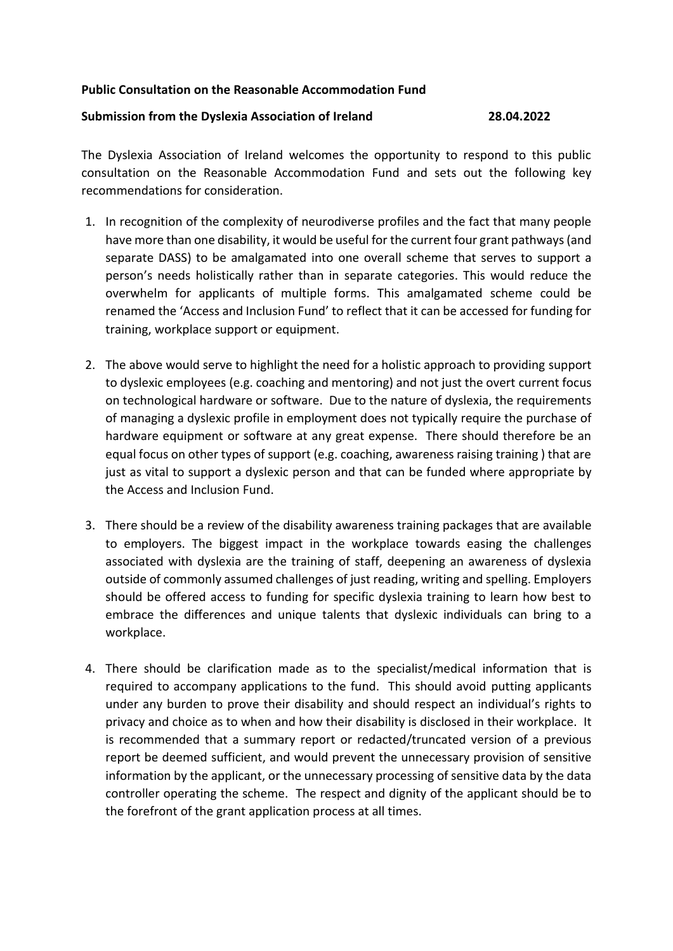## **Public Consultation on the Reasonable Accommodation Fund**

## **Submission from the Dyslexia Association of Ireland 28.04.2022**

The Dyslexia Association of Ireland welcomes the opportunity to respond to this public consultation on the Reasonable Accommodation Fund and sets out the following key recommendations for consideration.

- 1. In recognition of the complexity of neurodiverse profiles and the fact that many people have more than one disability, it would be useful for the current four grant pathways (and separate DASS) to be amalgamated into one overall scheme that serves to support a person's needs holistically rather than in separate categories. This would reduce the overwhelm for applicants of multiple forms. This amalgamated scheme could be renamed the 'Access and Inclusion Fund' to reflect that it can be accessed for funding for training, workplace support or equipment.
- 2. The above would serve to highlight the need for a holistic approach to providing support to dyslexic employees (e.g. coaching and mentoring) and not just the overt current focus on technological hardware or software. Due to the nature of dyslexia, the requirements of managing a dyslexic profile in employment does not typically require the purchase of hardware equipment or software at any great expense. There should therefore be an equal focus on other types of support (e.g. coaching, awareness raising training ) that are just as vital to support a dyslexic person and that can be funded where appropriate by the Access and Inclusion Fund.
- 3. There should be a review of the disability awareness training packages that are available to employers. The biggest impact in the workplace towards easing the challenges associated with dyslexia are the training of staff, deepening an awareness of dyslexia outside of commonly assumed challenges of just reading, writing and spelling. Employers should be offered access to funding for specific dyslexia training to learn how best to embrace the differences and unique talents that dyslexic individuals can bring to a workplace.
- 4. There should be clarification made as to the specialist/medical information that is required to accompany applications to the fund. This should avoid putting applicants under any burden to prove their disability and should respect an individual's rights to privacy and choice as to when and how their disability is disclosed in their workplace. It is recommended that a summary report or redacted/truncated version of a previous report be deemed sufficient, and would prevent the unnecessary provision of sensitive information by the applicant, or the unnecessary processing of sensitive data by the data controller operating the scheme. The respect and dignity of the applicant should be to the forefront of the grant application process at all times.